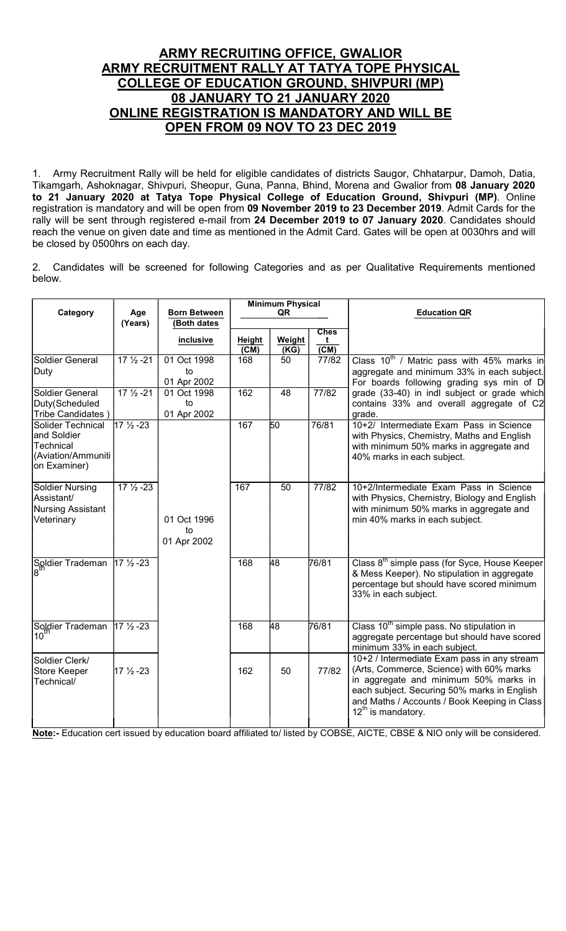# ARMY RECRUITING OFFICE, GWALIOR ARMY RECRUITMENT RALLY AT TATYA TOPE PHYSICAL COLLEGE OF EDUCATION GROUND, SHIVPURI (MP) 08 JANUARY TO 21 JANUARY 2020 ONLINE REGISTRATION IS MANDATORY AND WILL BE OPEN FROM 09 NOV TO 23 DEC 2019

1. Army Recruitment Rally will be held for eligible candidates of districts Saugor, Chhatarpur, Damoh, Datia, Tikamgarh, Ashoknagar, Shivpuri, Sheopur, Guna, Panna, Bhind, Morena and Gwalior from 08 January 2020 to 21 January 2020 at Tatya Tope Physical College of Education Ground, Shivpuri (MP). Online registration is mandatory and will be open from 09 November 2019 to 23 December 2019. Admit Cards for the rally will be sent through registered e-mail from 24 December 2019 to 07 January 2020. Candidates should reach the venue on given date and time as mentioned in the Admit Card. Gates will be open at 0030hrs and will be closed by 0500hrs on each day.

2. Candidates will be screened for following Categories and as per Qualitative Requirements mentioned below.

| Category                                                                            | Age                  | <b>Born Between</b> | <b>Minimum Physical</b><br>QR |                |                        | <b>Education QR</b>                                                                                                                                                                                                                                        |
|-------------------------------------------------------------------------------------|----------------------|---------------------|-------------------------------|----------------|------------------------|------------------------------------------------------------------------------------------------------------------------------------------------------------------------------------------------------------------------------------------------------------|
|                                                                                     | (Years)              | (Both dates         |                               |                |                        |                                                                                                                                                                                                                                                            |
|                                                                                     |                      |                     |                               |                | <b>Ches</b>            |                                                                                                                                                                                                                                                            |
|                                                                                     |                      | <i>inclusive</i>    | Height<br>$\overline{(CM)}$   | Weight<br>(KG) | t<br>$\overline{(CM)}$ |                                                                                                                                                                                                                                                            |
| Soldier General                                                                     | $17\frac{1}{2} - 21$ | 01 Oct 1998         | 168                           | 50             | 77/82                  | Class $10^{th}$ / Matric pass with 45% marks in                                                                                                                                                                                                            |
| Duty                                                                                |                      | to                  |                               |                |                        | aggregate and minimum 33% in each subject.                                                                                                                                                                                                                 |
|                                                                                     |                      | 01 Apr 2002         |                               |                |                        | For boards following grading sys min of D                                                                                                                                                                                                                  |
| Soldier General                                                                     | $17\frac{1}{2} - 21$ | 01 Oct 1998         | 162                           | 48             | 77/82                  | grade (33-40) in indl subject or grade which                                                                                                                                                                                                               |
| Duty(Scheduled                                                                      |                      | to                  |                               |                |                        | contains 33% and overall aggregate of C2                                                                                                                                                                                                                   |
| Tribe Candidates)                                                                   |                      | 01 Apr 2002         |                               |                |                        | grade.                                                                                                                                                                                                                                                     |
| Solider Technical<br>and Soldier<br>Technical<br>(Aviation/Ammuniti<br>on Examiner) | $17\frac{1}{2} - 23$ |                     | 167                           | 50             | 76/81                  | 10+2/ Intermediate Exam Pass in Science<br>with Physics, Chemistry, Maths and English<br>with minimum 50% marks in aggregate and<br>40% marks in each subject.                                                                                             |
| Soldier Nursing<br>Assistant/<br>Nursing Assistant<br>Veterinary                    | $17\frac{1}{2} - 23$ | 01 Oct 1996         | 167                           | 50             | 77/82                  | 10+2/Intermediate Exam Pass in Science<br>with Physics, Chemistry, Biology and English<br>with minimum 50% marks in aggregate and<br>min 40% marks in each subject.                                                                                        |
|                                                                                     |                      | to<br>01 Apr 2002   |                               |                |                        |                                                                                                                                                                                                                                                            |
| Soldier Trademan<br>8 <sup>th</sup>                                                 | $17\frac{1}{2} - 23$ |                     | 168                           | 48             | 76/81                  | Class 8 <sup>th</sup> simple pass (for Syce, House Keeper<br>& Mess Keeper). No stipulation in aggregate<br>percentage but should have scored minimum<br>33% in each subject.                                                                              |
| Soldier Trademan<br>10 <sup>th</sup>                                                | $17\frac{1}{2} - 23$ |                     | 168                           | 48             | 76/81                  | Class 10 <sup>th</sup> simple pass. No stipulation in<br>aggregate percentage but should have scored<br>minimum 33% in each subject.                                                                                                                       |
| Soldier Clerk/<br>Store Keeper<br>Technical/                                        | 17 1/2 - 23          |                     | 162                           | 50             | 77/82                  | 10+2 / Intermediate Exam pass in any stream<br>(Arts, Commerce, Science) with 60% marks<br>in aggregate and minimum 50% marks in<br>each subject. Securing 50% marks in English<br>and Maths / Accounts / Book Keeping in Class<br>$12^{th}$ is mandatory. |

Note:- Education cert issued by education board affiliated to/ listed by COBSE, AICTE, CBSE & NIO only will be considered.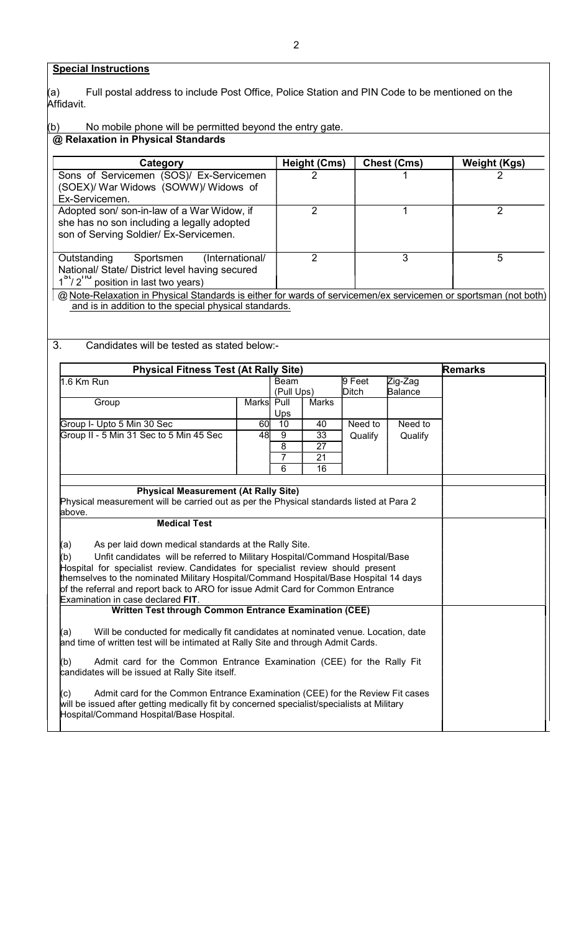## **Special Instructions**

Full postal address to include Post Office, Police Station and PIN Code to be mentioned on the (a) I<br>Affidavit.

#### (b) No mobile phone will be permitted beyond the entry gate. @ Relaxation in Physical Standards

| Category                                                                                                                                                                 | <b>Height (Cms)</b> | Chest (Cms) | <b>Weight (Kgs)</b> |
|--------------------------------------------------------------------------------------------------------------------------------------------------------------------------|---------------------|-------------|---------------------|
| Sons of Servicemen (SOS)/ Ex-Servicemen<br>(SOEX)/ War Widows (SOWW)/ Widows of<br>Ex-Servicemen.                                                                        | 2                   |             |                     |
| Adopted son/son-in-law of a War Widow, if<br>she has no son including a legally adopted<br>son of Serving Soldier/ Ex-Servicemen.                                        | າ                   |             | າ                   |
| (International/<br>Outstanding<br>Sportsmen<br>National/ State/ District level having secured<br>$1^{51}$ / 2 <sup>"</sup> position in last two years)                   |                     |             | 5                   |
| @ Note-Relaxation in Physical Standards is either for wards of servicemen/ex servicemen or sportsman (not both)<br>and is in addition to the special physical standards. |                     |             |                     |

3. Candidates will be tested as stated below:-

| <b>Physical Fitness Test (At Rally Site)</b>                                                                         |            |                |                       |         |                | <b>Remarks</b> |
|----------------------------------------------------------------------------------------------------------------------|------------|----------------|-----------------------|---------|----------------|----------------|
| 1.6 Km Run                                                                                                           |            | Beam           |                       | 9 Feet  | Zig-Zag        |                |
|                                                                                                                      |            | (Pull Ups)     |                       | Ditch   | <b>Balance</b> |                |
| Group                                                                                                                | Marks Pull |                | <b>Marks</b>          |         |                |                |
|                                                                                                                      |            | Ups            |                       |         |                |                |
| Group I- Upto 5 Min 30 Sec                                                                                           | 60I        | 10             | 40                    | Need to | Need to        |                |
| Group II - 5 Min 31 Sec to 5 Min 45 Sec                                                                              | 48         | 9<br>8         | 33<br>$\overline{27}$ | Qualify | Qualify        |                |
|                                                                                                                      |            | $\overline{7}$ | 21                    |         |                |                |
|                                                                                                                      |            | 6              | 16                    |         |                |                |
|                                                                                                                      |            |                |                       |         |                |                |
| <b>Physical Measurement (At Rally Site)</b>                                                                          |            |                |                       |         |                |                |
| Physical measurement will be carried out as per the Physical standards listed at Para 2                              |            |                |                       |         |                |                |
| above.                                                                                                               |            |                |                       |         |                |                |
| <b>Medical Test</b>                                                                                                  |            |                |                       |         |                |                |
|                                                                                                                      |            |                |                       |         |                |                |
| As per laid down medical standards at the Rally Site.<br>(a)                                                         |            |                |                       |         |                |                |
| Unfit candidates will be referred to Military Hospital/Command Hospital/Base<br>(b)                                  |            |                |                       |         |                |                |
| Hospital for specialist review. Candidates for specialist review should present                                      |            |                |                       |         |                |                |
| themselves to the nominated Military Hospital/Command Hospital/Base Hospital 14 days                                 |            |                |                       |         |                |                |
| of the referral and report back to ARO for issue Admit Card for Common Entrance<br>Examination in case declared FIT. |            |                |                       |         |                |                |
| <b>Written Test through Common Entrance Examination (CEE)</b>                                                        |            |                |                       |         |                |                |
|                                                                                                                      |            |                |                       |         |                |                |
| Will be conducted for medically fit candidates at nominated venue. Location, date<br>(a)                             |            |                |                       |         |                |                |
| and time of written test will be intimated at Rally Site and through Admit Cards.                                    |            |                |                       |         |                |                |
|                                                                                                                      |            |                |                       |         |                |                |
| (b)<br>Admit card for the Common Entrance Examination (CEE) for the Rally Fit                                        |            |                |                       |         |                |                |
| candidates will be issued at Rally Site itself.                                                                      |            |                |                       |         |                |                |
| Admit card for the Common Entrance Examination (CEE) for the Review Fit cases<br>(c)                                 |            |                |                       |         |                |                |
| will be issued after getting medically fit by concerned specialist/specialists at Military                           |            |                |                       |         |                |                |
| Hospital/Command Hospital/Base Hospital.                                                                             |            |                |                       |         |                |                |
|                                                                                                                      |            |                |                       |         |                |                |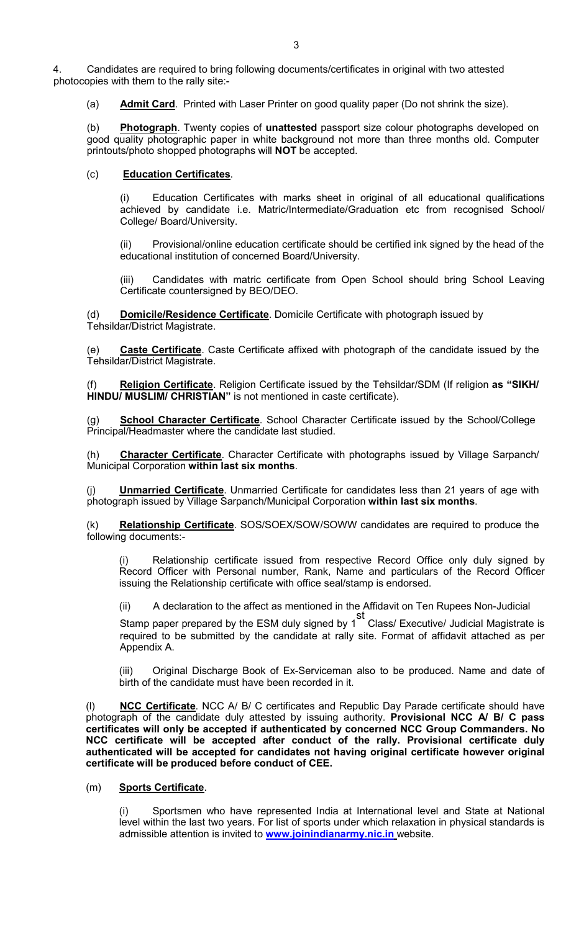4. Candidates are required to bring following documents/certificates in original with two attested photocopies with them to the rally site:-

(a) Admit Card. Printed with Laser Printer on good quality paper (Do not shrink the size).

(b) Photograph. Twenty copies of unattested passport size colour photographs developed on good quality photographic paper in white background not more than three months old. Computer printouts/photo shopped photographs will NOT be accepted.

## (c) Education Certificates.

Education Certificates with marks sheet in original of all educational qualifications achieved by candidate i.e. Matric/Intermediate/Graduation etc from recognised School/ College/ Board/University.

(ii) Provisional/online education certificate should be certified ink signed by the head of the educational institution of concerned Board/University.

(iii) Candidates with matric certificate from Open School should bring School Leaving Certificate countersigned by BEO/DEO.

(d) Domicile/Residence Certificate. Domicile Certificate with photograph issued by Tehsildar/District Magistrate.

(e) Caste Certificate. Caste Certificate affixed with photograph of the candidate issued by the Tehsildar/District Magistrate.

(f) Religion Certificate. Religion Certificate issued by the Tehsildar/SDM (If religion as "SIKH/ HINDU/ MUSLIM/ CHRISTIAN" is not mentioned in caste certificate).

(g) School Character Certificate. School Character Certificate issued by the School/College Principal/Headmaster where the candidate last studied.

(h) Character Certificate. Character Certificate with photographs issued by Village Sarpanch/ Municipal Corporation within last six months.

Unmarried Certificate. Unmarried Certificate for candidates less than 21 years of age with photograph issued by Village Sarpanch/Municipal Corporation within last six months.

(k) Relationship Certificate. SOS/SOEX/SOW/SOWW candidates are required to produce the following documents:-

Relationship certificate issued from respective Record Office only duly signed by Record Officer with Personal number, Rank, Name and particulars of the Record Officer issuing the Relationship certificate with office seal/stamp is endorsed.

(ii) A declaration to the affect as mentioned in the Affidavit on Ten Rupees Non-Judicial

 Stamp paper prepared by the ESM duly signed by 1 st Class/ Executive/ Judicial Magistrate is required to be submitted by the candidate at rally site. Format of affidavit attached as per Appendix A.

> (iii) Original Discharge Book of Ex-Serviceman also to be produced. Name and date of birth of the candidate must have been recorded in it.

(I) NCC Certificate. NCC A/ B/ C certificates and Republic Day Parade certificate should have photograph of the candidate duly attested by issuing authority. Provisional NCC A/ B/ C pass certificates will only be accepted if authenticated by concerned NCC Group Commanders. No NCC certificate will be accepted after conduct of the rally. Provisional certificate duly authenticated will be accepted for candidates not having original certificate however original certificate will be produced before conduct of CEE.

#### (m) Sports Certificate.

Sportsmen who have represented India at International level and State at National level within the last two years. For list of sports under which relaxation in physical standards is admissible attention is invited to **www.joinindianarmy.nic.in** website.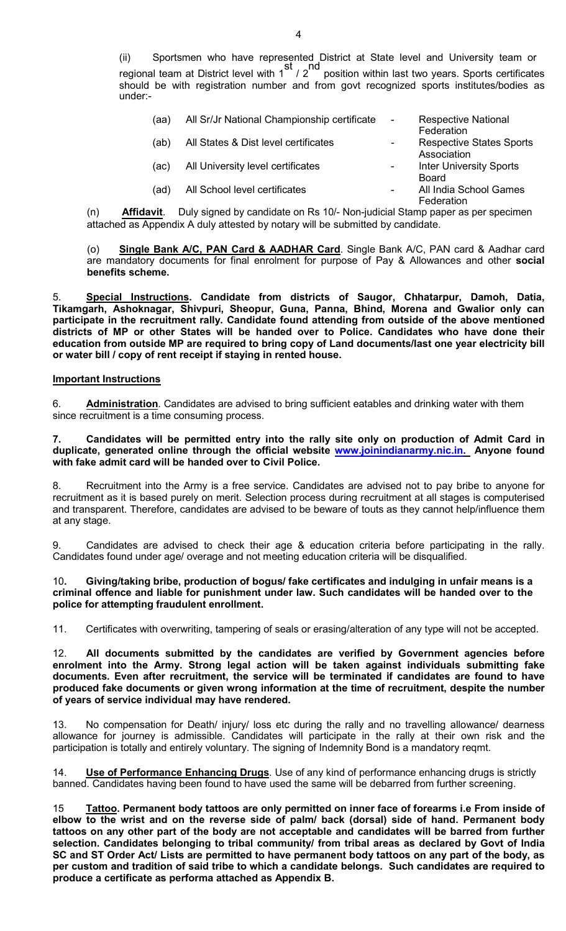(ii) Sportsmen who have represented District at State level and University team or regional team at District level with 1 st  $\frac{1}{2}$ nd position within last two years. Sports certificates should be with registration number and from govt recognized sports institutes/bodies as under:-

| (aa) | All Sr/Jr National Championship certificate | $\sim$                   | <b>Respective National</b>                             |
|------|---------------------------------------------|--------------------------|--------------------------------------------------------|
| (ab) | All States & Dist level certificates        | $\blacksquare$           | Federation<br><b>Respective States Sports</b>          |
| (ac) | All University level certificates           | $\overline{\phantom{a}}$ | Association<br><b>Inter University Sports</b><br>Board |
| (ad) | All School level certificates               |                          | All India School Games<br>Federation                   |

(n) Affidavit. Duly signed by candidate on Rs 10/- Non-judicial Stamp paper as per specimenattached as Appendix A duly attested by notary will be submitted by candidate.

(o) Single Bank A/C, PAN Card & AADHAR Card. Single Bank A/C, PAN card & Aadhar card are mandatory documents for final enrolment for purpose of Pay & Allowances and other social benefits scheme.

Special Instructions. Candidate from districts of Saugor, Chhatarpur, Damoh, Datia, Tikamgarh, Ashoknagar, Shivpuri, Sheopur, Guna, Panna, Bhind, Morena and Gwalior only can participate in the recruitment rally. Candidate found attending from outside of the above mentioned districts of MP or other States will be handed over to Police. Candidates who have done their education from outside MP are required to bring copy of Land documents/last one year electricity bill or water bill / copy of rent receipt if staying in rented house.

## Important Instructions

6. Administration. Candidates are advised to bring sufficient eatables and drinking water with them since recruitment is a time consuming process.

7. Candidates will be permitted entry into the rally site only on production of Admit Card in duplicate, generated online through the official website www.joinindianarmy.nic.in. Anyone found with fake admit card will be handed over to Civil Police.

8. Recruitment into the Army is a free service. Candidates are advised not to pay bribe to anyone for recruitment as it is based purely on merit. Selection process during recruitment at all stages is computerised and transparent. Therefore, candidates are advised to be beware of touts as they cannot help/influence them at any stage.

9. Candidates are advised to check their age & education criteria before participating in the rally. Candidates found under age/ overage and not meeting education criteria will be disqualified.

### 10. Giving/taking bribe, production of bogus/ fake certificates and indulging in unfair means is a criminal offence and liable for punishment under law. Such candidates will be handed over to the police for attempting fraudulent enrollment.

11. Certificates with overwriting, tampering of seals or erasing/alteration of any type will not be accepted.

12. All documents submitted by the candidates are verified by Government agencies before enrolment into the Army. Strong legal action will be taken against individuals submitting fake documents. Even after recruitment, the service will be terminated if candidates are found to have produced fake documents or given wrong information at the time of recruitment, despite the number of years of service individual may have rendered.

13. No compensation for Death/ injury/ loss etc during the rally and no travelling allowance/ dearness allowance for journey is admissible. Candidates will participate in the rally at their own risk and the participation is totally and entirely voluntary. The signing of Indemnity Bond is a mandatory reqmt.

14. Use of Performance Enhancing Drugs. Use of any kind of performance enhancing drugs is strictly banned. Candidates having been found to have used the same will be debarred from further screening.

15 Tattoo. Permanent body tattoos are only permitted on inner face of forearms i.e From inside of elbow to the wrist and on the reverse side of palm/ back (dorsal) side of hand. Permanent body tattoos on any other part of the body are not acceptable and candidates will be barred from further selection. Candidates belonging to tribal community/ from tribal areas as declared by Govt of India SC and ST Order Act/ Lists are permitted to have permanent body tattoos on any part of the body, as per custom and tradition of said tribe to which a candidate belongs. Such candidates are required to produce a certificate as performa attached as Appendix B.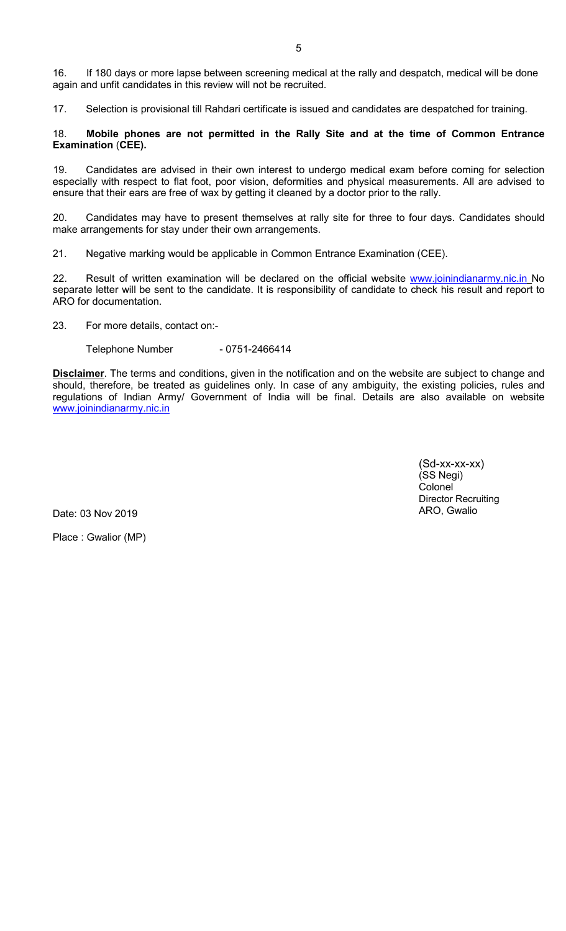16. If 180 days or more lapse between screening medical at the rally and despatch, medical will be done again and unfit candidates in this review will not be recruited.

17. Selection is provisional till Rahdari certificate is issued and candidates are despatched for training.

#### 18. Mobile phones are not permitted in the Rally Site and at the time of Common Entrance Examination (CEE).

19. Candidates are advised in their own interest to undergo medical exam before coming for selection especially with respect to flat foot, poor vision, deformities and physical measurements. All are advised to ensure that their ears are free of wax by getting it cleaned by a doctor prior to the rally.

20. Candidates may have to present themselves at rally site for three to four days. Candidates should make arrangements for stay under their own arrangements.

21. Negative marking would be applicable in Common Entrance Examination (CEE).

22. Result of written examination will be declared on the official website www.joinindianarmy.nic.in No separate letter will be sent to the candidate. It is responsibility of candidate to check his result and report to ARO for documentation.

23. For more details, contact on:-

Telephone Number - 0751-2466414

Disclaimer. The terms and conditions, given in the notification and on the website are subject to change and should, therefore, be treated as guidelines only. In case of any ambiguity, the existing policies, rules and regulations of Indian Army/ Government of India will be final. Details are also available on website www.joinindianarmy.nic.in

> (Sd-xx-xx-xx) (SS Negi) Colonel Director Recruiting ARO, Gwalio

Date: 03 Nov 2019

Place : Gwalior (MP)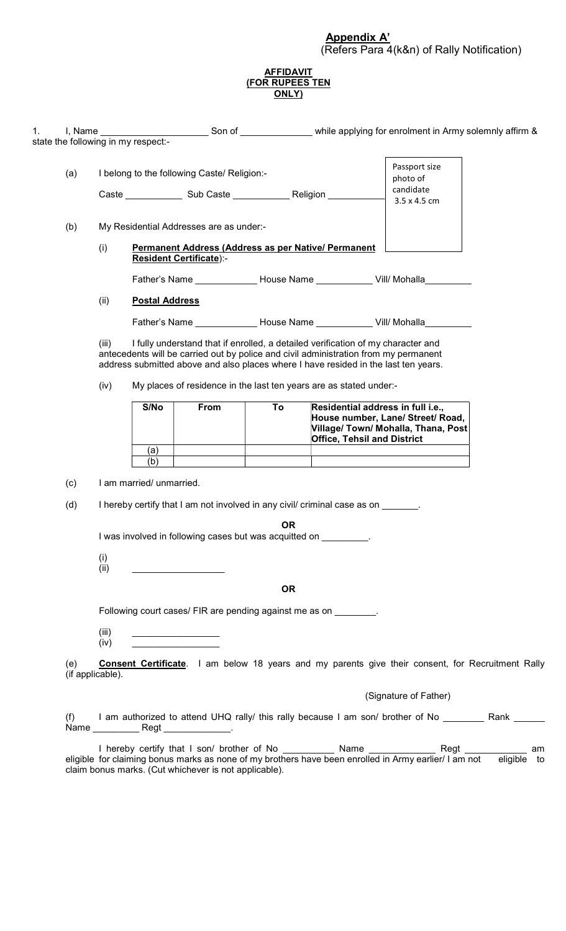#### AFFIDAVIT (FOR RUPEES TEN ONLY)

|     |                  | state the following in my respect:- |                                                                                                                                                                                                                                                                 |           |                                    | I, Name example a Son of Communication of Army solemnly affirm &                                              |  |
|-----|------------------|-------------------------------------|-----------------------------------------------------------------------------------------------------------------------------------------------------------------------------------------------------------------------------------------------------------------|-----------|------------------------------------|---------------------------------------------------------------------------------------------------------------|--|
|     |                  |                                     |                                                                                                                                                                                                                                                                 |           |                                    |                                                                                                               |  |
| (a) |                  |                                     | I belong to the following Caste/ Religion:-                                                                                                                                                                                                                     |           |                                    | Passport size                                                                                                 |  |
|     |                  |                                     |                                                                                                                                                                                                                                                                 |           |                                    | photo of<br>candidate                                                                                         |  |
|     |                  |                                     |                                                                                                                                                                                                                                                                 |           |                                    | 3.5 x 4.5 cm                                                                                                  |  |
| (b) |                  |                                     | My Residential Addresses are as under:-                                                                                                                                                                                                                         |           |                                    |                                                                                                               |  |
|     | (i)              |                                     | Permanent Address (Address as per Native/ Permanent                                                                                                                                                                                                             |           |                                    |                                                                                                               |  |
|     |                  |                                     | <b>Resident Certificate):-</b>                                                                                                                                                                                                                                  |           |                                    |                                                                                                               |  |
|     |                  |                                     |                                                                                                                                                                                                                                                                 |           |                                    | Father's Name ______________ House Name _____________ Vill/ Mohalla                                           |  |
|     | (ii)             | <b>Postal Address</b>               |                                                                                                                                                                                                                                                                 |           |                                    |                                                                                                               |  |
|     |                  |                                     |                                                                                                                                                                                                                                                                 |           |                                    | Father's Name ______________ House Name _____________ Vill/ Mohalla                                           |  |
|     | (iii)            |                                     | I fully understand that if enrolled, a detailed verification of my character and<br>antecedents will be carried out by police and civil administration from my permanent<br>address submitted above and also places where I have resided in the last ten years. |           |                                    |                                                                                                               |  |
|     | (iv)             |                                     | My places of residence in the last ten years are as stated under:-                                                                                                                                                                                              |           |                                    |                                                                                                               |  |
|     |                  | S/No                                | From                                                                                                                                                                                                                                                            | To        |                                    | Residential address in full i.e.,<br>House number, Lane/ Street/ Road,<br>Village/ Town/ Mohalla, Thana, Post |  |
|     |                  | (a)                                 |                                                                                                                                                                                                                                                                 |           | <b>Office, Tehsil and District</b> |                                                                                                               |  |
|     |                  | (b)                                 |                                                                                                                                                                                                                                                                 |           |                                    |                                                                                                               |  |
| (c) |                  | I am married/ unmarried.            |                                                                                                                                                                                                                                                                 |           |                                    |                                                                                                               |  |
| (d) |                  |                                     | I hereby certify that I am not involved in any civil/ criminal case as on                                                                                                                                                                                       |           |                                    |                                                                                                               |  |
|     |                  |                                     |                                                                                                                                                                                                                                                                 | OR.       |                                    |                                                                                                               |  |
|     |                  |                                     | I was involved in following cases but was acquitted on                                                                                                                                                                                                          |           |                                    |                                                                                                               |  |
|     | (i)<br>(ii)      |                                     |                                                                                                                                                                                                                                                                 |           |                                    |                                                                                                               |  |
|     |                  |                                     |                                                                                                                                                                                                                                                                 |           |                                    |                                                                                                               |  |
|     |                  |                                     |                                                                                                                                                                                                                                                                 | <b>OR</b> |                                    |                                                                                                               |  |
|     |                  |                                     | Following court cases/ FIR are pending against me as on _________.                                                                                                                                                                                              |           |                                    |                                                                                                               |  |
|     | (iii)            |                                     |                                                                                                                                                                                                                                                                 |           |                                    |                                                                                                               |  |
|     | (iv)             |                                     |                                                                                                                                                                                                                                                                 |           |                                    |                                                                                                               |  |
| (e) | (if applicable). |                                     |                                                                                                                                                                                                                                                                 |           |                                    | <b>Consent Certificate</b> . I am below 18 years and my parents give their consent, for Recruitment Rally     |  |
|     |                  |                                     |                                                                                                                                                                                                                                                                 |           |                                    | (Signature of Father)                                                                                         |  |
|     |                  |                                     |                                                                                                                                                                                                                                                                 |           |                                    | I am authorized to attend UHQ rally/ this rally because I am son/ brother of No __________ Rank ______        |  |
| (f) |                  |                                     |                                                                                                                                                                                                                                                                 |           |                                    |                                                                                                               |  |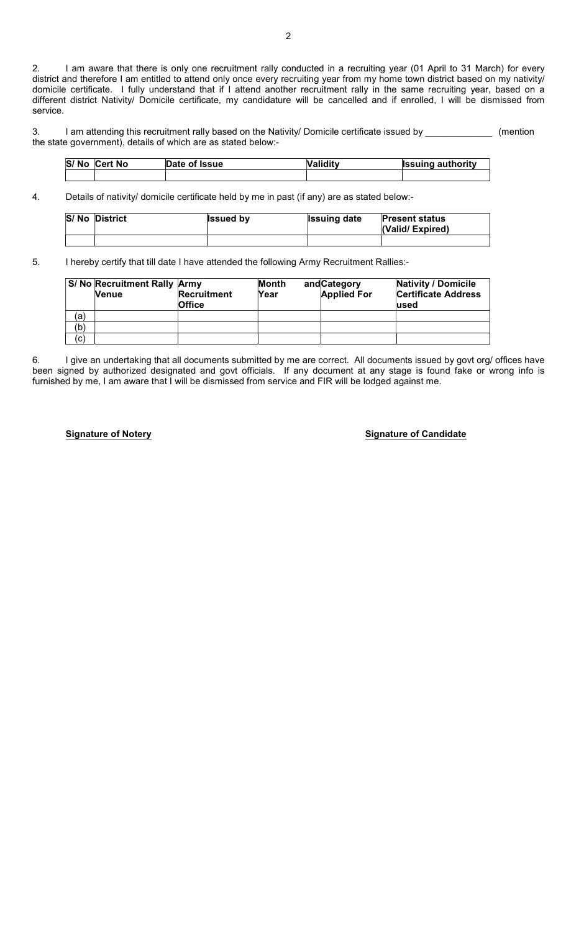2. I am aware that there is only one recruitment rally conducted in a recruiting year (01 April to 31 March) for every district and therefore I am entitled to attend only once every recruiting year from my home town district based on my nativity/ domicile certificate. I fully understand that if I attend another recruitment rally in the same recruiting year, based on a different district Nativity/ Domicile certificate, my candidature will be cancelled and if enrolled, I will be dismissed from service.

3. I am attending this recruitment rally based on the Nativity/ Domicile certificate issued by \_\_\_\_\_\_\_\_\_\_\_\_\_ (mention the state government), details of which are as stated below:-

| S/No Cert No | Date of Issue | Validitv | <b>Issuing authority</b> |
|--------------|---------------|----------|--------------------------|
|              |               |          |                          |

4. Details of nativity/ domicile certificate held by me in past (if any) are as stated below:-

| <b>S/No District</b> | <b>Issued by</b> | <b>Issuing date</b> | <b>Present status</b><br>(Valid/Expired) |
|----------------------|------------------|---------------------|------------------------------------------|
|                      |                  |                     |                                          |

5. I hereby certify that till date I have attended the following Army Recruitment Rallies:-

|     | <b>S/ No Recruitment Rally Army</b><br><b>Nenue</b> | <b>Recruitment</b><br><b>Office</b> | Month<br>Year | and Category<br><b>Applied For</b> | <b>Nativity / Domicile</b><br><b>Certificate Address</b><br>lused |
|-----|-----------------------------------------------------|-------------------------------------|---------------|------------------------------------|-------------------------------------------------------------------|
| (a) |                                                     |                                     |               |                                    |                                                                   |
| (b) |                                                     |                                     |               |                                    |                                                                   |
| (c) |                                                     |                                     |               |                                    |                                                                   |

6. I give an undertaking that all documents submitted by me are correct. All documents issued by govt org/ offices have been signed by authorized designated and govt officials. If any document at any stage is found fake or wrong info is furnished by me, I am aware that I will be dismissed from service and FIR will be lodged against me.

Signature of Notery **Signature of Notery** Signature of Candidate